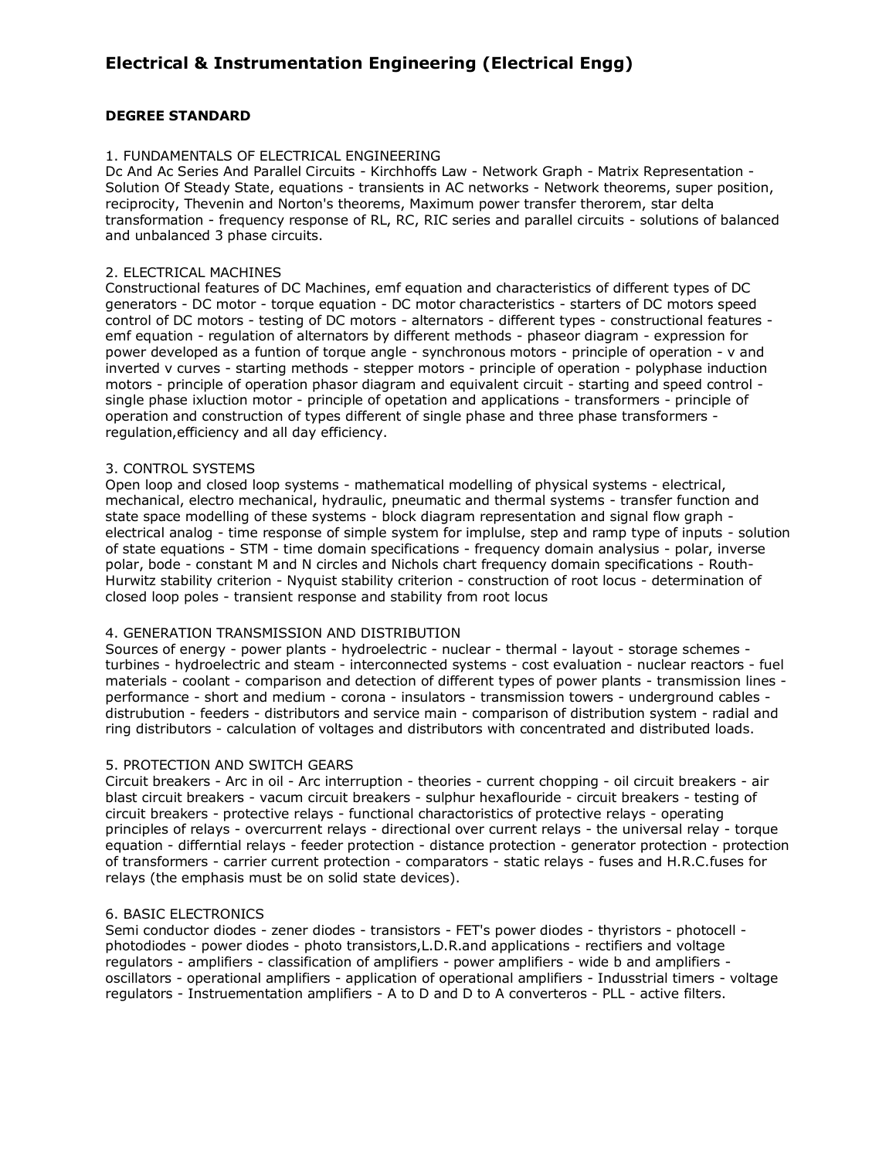# **Electrical & Instrumentation Engineering (Electrical Engg)**

# **DEGREE STANDARD**

# 1. FUNDAMENTALS OF ELECTRICAL ENGINEERING

Dc And Ac Series And Parallel Circuits - Kirchhoffs Law - Network Graph - Matrix Representation - Solution Of Steady State, equations - transients in AC networks - Network theorems, super position, reciprocity, Thevenin and Norton's theorems, Maximum power transfer therorem, star delta transformation - frequency response of RL, RC, RIC series and parallel circuits - solutions of balanced and unbalanced 3 phase circuits.

### 2. ELECTRICAL MACHINES

Constructional features of DC Machines, emf equation and characteristics of different types of DC generators - DC motor - torque equation - DC motor characteristics - starters of DC motors speed control of DC motors - testing of DC motors - alternators - different types - constructional features emf equation - regulation of alternators by different methods - phaseor diagram - expression for power developed as a funtion of torque angle - synchronous motors - principle of operation - v and inverted v curves - starting methods - stepper motors - principle of operation - polyphase induction motors - principle of operation phasor diagram and equivalent circuit - starting and speed control single phase ixluction motor - principle of opetation and applications - transformers - principle of operation and construction of types different of single phase and three phase transformers regulation,efficiency and all day efficiency.

# 3. CONTROL SYSTEMS

Open loop and closed loop systems - mathematical modelling of physical systems - electrical, mechanical, electro mechanical, hydraulic, pneumatic and thermal systems - transfer function and state space modelling of these systems - block diagram representation and signal flow graph electrical analog - time response of simple system for implulse, step and ramp type of inputs - solution of state equations - STM - time domain specifications - frequency domain analysius - polar, inverse polar, bode - constant M and N circles and Nichols chart frequency domain specifications - Routh-Hurwitz stability criterion - Nyquist stability criterion - construction of root locus - determination of closed loop poles - transient response and stability from root locus

# 4. GENERATION TRANSMISSION AND DISTRIBUTION

Sources of energy - power plants - hydroelectric - nuclear - thermal - layout - storage schemes turbines - hydroelectric and steam - interconnected systems - cost evaluation - nuclear reactors - fuel materials - coolant - comparison and detection of different types of power plants - transmission lines performance - short and medium - corona - insulators - transmission towers - underground cables distrubution - feeders - distributors and service main - comparison of distribution system - radial and ring distributors - calculation of voltages and distributors with concentrated and distributed loads.

#### 5. PROTECTION AND SWITCH GEARS

Circuit breakers - Arc in oil - Arc interruption - theories - current chopping - oil circuit breakers - air blast circuit breakers - vacum circuit breakers - sulphur hexaflouride - circuit breakers - testing of circuit breakers - protective relays - functional charactoristics of protective relays - operating principles of relays - overcurrent relays - directional over current relays - the universal relay - torque equation - differntial relays - feeder protection - distance protection - generator protection - protection of transformers - carrier current protection - comparators - static relays - fuses and H.R.C.fuses for relays (the emphasis must be on solid state devices).

#### 6. BASIC ELECTRONICS

Semi conductor diodes - zener diodes - transistors - FET's power diodes - thyristors - photocell photodiodes - power diodes - photo transistors,L.D.R.and applications - rectifiers and voltage regulators - amplifiers - classification of amplifiers - power amplifiers - wide b and amplifiers oscillators - operational amplifiers - application of operational amplifiers - Indusstrial timers - voltage regulators - Instruementation amplifiers - A to D and D to A converteros - PLL - active filters.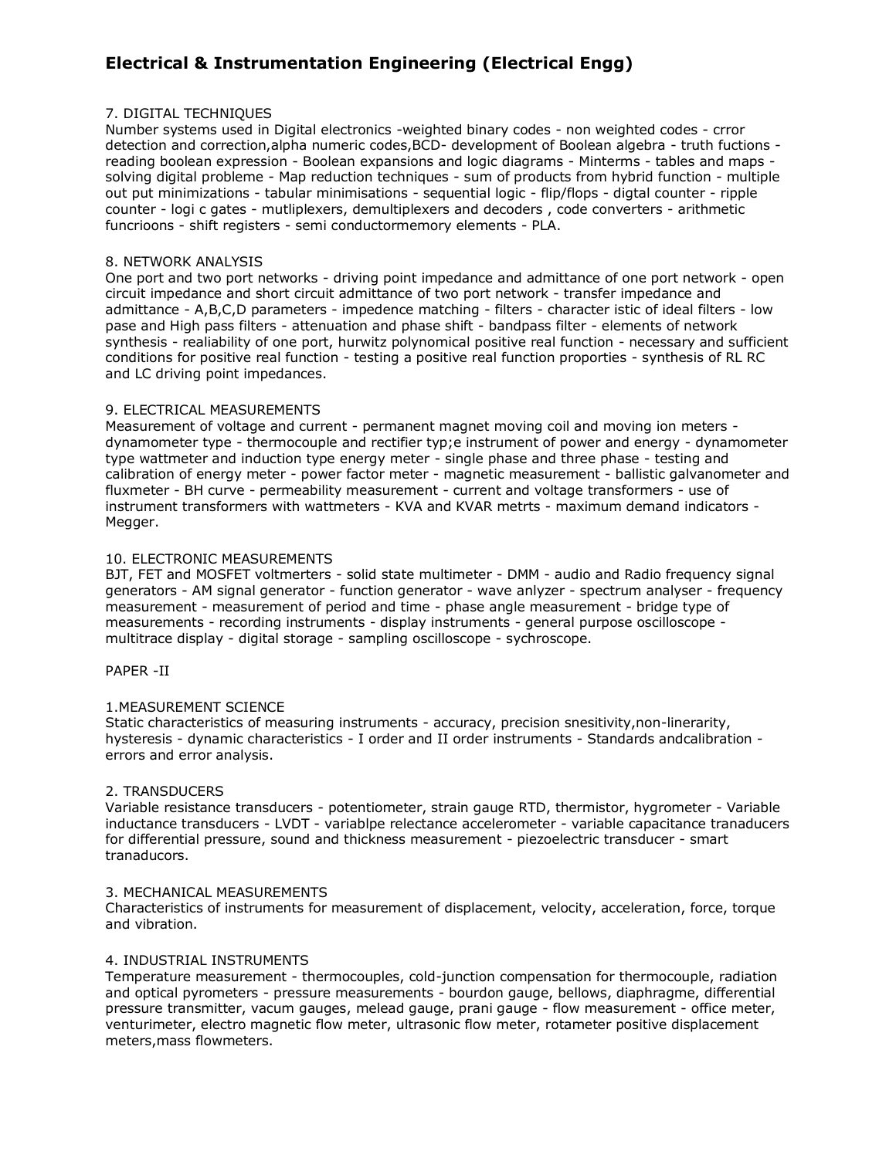# **Electrical & Instrumentation Engineering (Electrical Engg)**

# 7. DIGITAL TECHNIQUES

Number systems used in Digital electronics -weighted binary codes - non weighted codes - crror detection and correction,alpha numeric codes,BCD- development of Boolean algebra - truth fuctions reading boolean expression - Boolean expansions and logic diagrams - Minterms - tables and maps solving digital probleme - Map reduction techniques - sum of products from hybrid function - multiple out put minimizations - tabular minimisations - sequential logic - flip/flops - digtal counter - ripple counter - logi c gates - mutliplexers, demultiplexers and decoders , code converters - arithmetic funcrioons - shift registers - semi conductormemory elements - PLA.

# 8. NETWORK ANALYSIS

One port and two port networks - driving point impedance and admittance of one port network - open circuit impedance and short circuit admittance of two port network - transfer impedance and admittance - A,B,C,D parameters - impedence matching - filters - character istic of ideal filters - low pase and High pass filters - attenuation and phase shift - bandpass filter - elements of network synthesis - realiability of one port, hurwitz polynomical positive real function - necessary and sufficient conditions for positive real function - testing a positive real function proporties - synthesis of RL RC and LC driving point impedances.

# 9. ELECTRICAL MEASUREMENTS

Measurement of voltage and current - permanent magnet moving coil and moving ion meters dynamometer type - thermocouple and rectifier typ;e instrument of power and energy - dynamometer type wattmeter and induction type energy meter - single phase and three phase - testing and calibration of energy meter - power factor meter - magnetic measurement - ballistic galvanometer and fluxmeter - BH curve - permeability measurement - current and voltage transformers - use of instrument transformers with wattmeters - KVA and KVAR metrts - maximum demand indicators - Megger.

# 10. ELECTRONIC MEASUREMENTS

BJT, FET and MOSFET voltmerters - solid state multimeter - DMM - audio and Radio frequency signal generators - AM signal generator - function generator - wave anlyzer - spectrum analyser - frequency measurement - measurement of period and time - phase angle measurement - bridge type of measurements - recording instruments - display instruments - general purpose oscilloscope multitrace display - digital storage - sampling oscilloscope - sychroscope.

#### PAPER -II

# 1.MEASUREMENT SCIENCE

Static characteristics of measuring instruments - accuracy, precision snesitivity,non-linerarity, hysteresis - dynamic characteristics - I order and II order instruments - Standards andcalibration errors and error analysis.

# 2. TRANSDUCERS

Variable resistance transducers - potentiometer, strain gauge RTD, thermistor, hygrometer - Variable inductance transducers - LVDT - variablpe relectance accelerometer - variable capacitance tranaducers for differential pressure, sound and thickness measurement - piezoelectric transducer - smart tranaducors.

#### 3. MECHANICAL MEASUREMENTS

Characteristics of instruments for measurement of displacement, velocity, acceleration, force, torque and vibration.

#### 4. INDUSTRIAL INSTRUMENTS

Temperature measurement - thermocouples, cold-junction compensation for thermocouple, radiation and optical pyrometers - pressure measurements - bourdon gauge, bellows, diaphragme, differential pressure transmitter, vacum gauges, melead gauge, prani gauge - flow measurement - office meter, venturimeter, electro magnetic flow meter, ultrasonic flow meter, rotameter positive displacement meters,mass flowmeters.